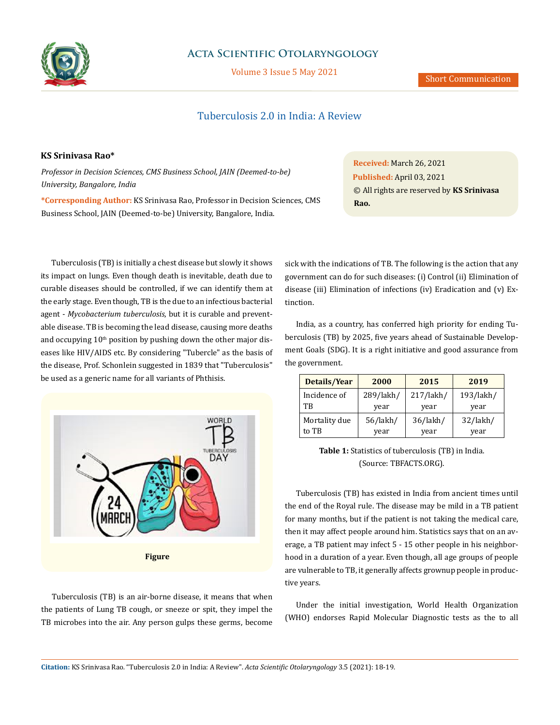

## **Acta Scientific Otolaryngology**

Volume 3 Issue 5 May 2021

# Tuberculosis 2.0 in India: A Review

## **KS Srinivasa Rao\***

*Professor in Decision Sciences, CMS Business School, JAIN (Deemed-to-be) University, Bangalore, India*

**\*Corresponding Author:** KS Srinivasa Rao, Professor in Decision Sciences, CMS Business School, JAIN (Deemed-to-be) University, Bangalore, India.

Tuberculosis (TB) is initially a chest disease but slowly it shows its impact on lungs. Even though death is inevitable, death due to curable diseases should be controlled, if we can identify them at the early stage. Even though, TB is the due to an infectious bacterial agent - *Mycobacterium tuberculosis*, but it is curable and preventable disease. TB is becoming the lead disease, causing more deaths and occupying  $10<sup>th</sup>$  position by pushing down the other major diseases like HIV/AIDS etc. By considering "Tubercle" as the basis of the disease, Prof. Schonlein suggested in 1839 that "Tuberculosis" be used as a generic name for all variants of Phthisis.



Tuberculosis (TB) is an air-borne disease, it means that when the patients of Lung TB cough, or sneeze or spit, they impel the TB microbes into the air. Any person gulps these germs, become **Received:** March 26, 2021 **Published:** April 03, 2021 © All rights are reserved by **KS Srinivasa Rao.**

sick with the indications of TB. The following is the action that any government can do for such diseases: (i) Control (ii) Elimination of disease (iii) Elimination of infections (iv) Eradication and (v) Extinction.

India, as a country, has conferred high priority for ending Tuberculosis (TB) by 2025, five years ahead of Sustainable Development Goals (SDG). It is a right initiative and good assurance from the government.

| Details/Year  | 2000           | 2015           | 2019           |
|---------------|----------------|----------------|----------------|
| Incidence of  | 289/lakh/      | $217/$ lakh/   | 193/lakh/      |
| TB            | year           | year           | year           |
| Mortality due | $56/$ lakh $/$ | $36/$ lakh $/$ | $32/$ lakh $/$ |
| to TB         | year           | year           | year           |

**Table 1:** Statistics of tuberculosis (TB) in India. (Source: TBFACTS.ORG).

Tuberculosis (TB) has existed in India from ancient times until the end of the Royal rule. The disease may be mild in a TB patient for many months, but if the patient is not taking the medical care, then it may affect people around him. Statistics says that on an average, a TB patient may infect 5 - 15 other people in his neighborhood in a duration of a year. Even though, all age groups of people are vulnerable to TB, it generally affects grownup people in productive years.

Under the initial investigation, World Health Organization (WHO) endorses Rapid Molecular Diagnostic tests as the to all

**Citation:** KS Srinivasa Rao*.* "Tuberculosis 2.0 in India: A Review". *Acta Scientific Otolaryngology* 3.5 (2021): 18-19.